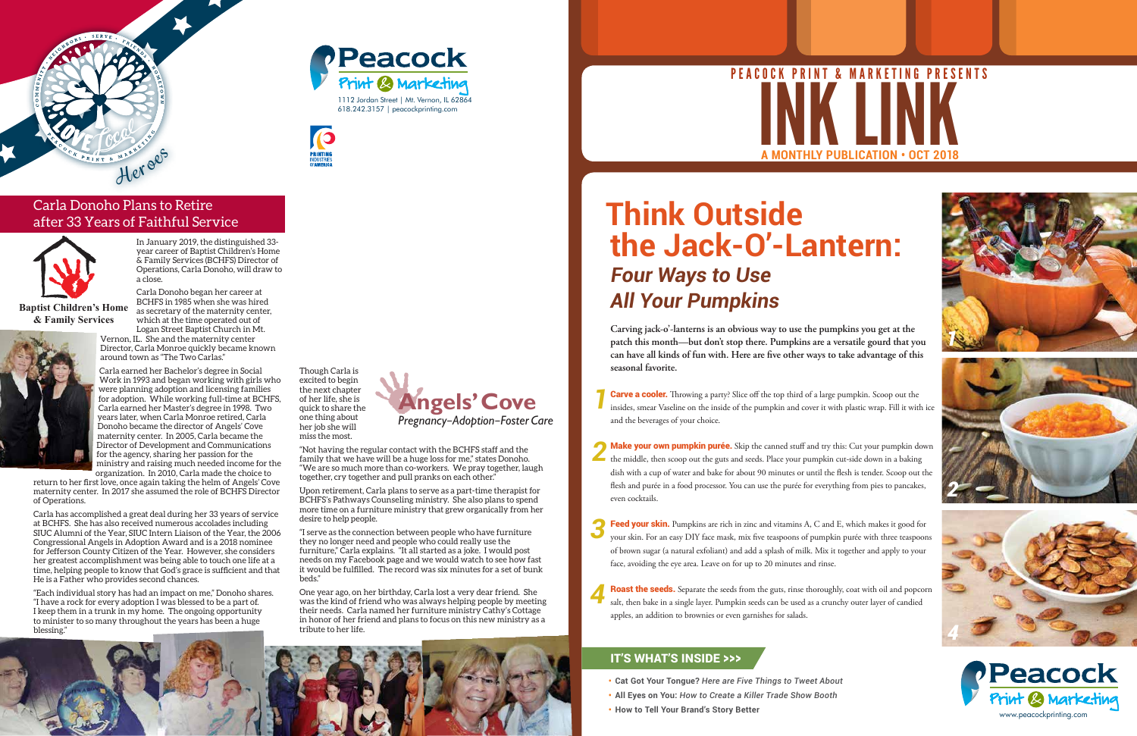# **Think Outside the Jack-O'-Lantern:** *Four Ways to Use All Your Pumpkins*

**Carving jack-o'-lanterns is an obvious way to use the pumpkins you get at the patch this month—but don't stop there. Pumpkins are a versatile gourd that you can have all kinds of fun with. Here are five other ways to take advantage of this seasonal favorite.**

*1* **Carve a cooler.** Throwing a party? Slice off the top third of a large pumpkin. Scoop out the insides, smear Vaseline on the inside of the pumpkin and cover it with plastic wrap. Fill it with ice and the beverages of your choice.

**2** Make your own pumpkin purée. Skip the canned stuff and try this: Cut your pumpkin down the middle, then scoop out the guts and seeds. Place your pumpkin cut-side down in a baking the middle, then scoop out the guts and seeds. Place your pumpkin cut-side down in a baking dish with a cup of water and bake for about 90 minutes or until the flesh is tender. Scoop out the flesh and purée in a food processor. You can use the purée for everything from pies to pancakes, even cocktails.

*3* Feed your skin. Pumpkins are rich in zinc and vitamins A, C and E, which makes it good for your skin. For an easy DIY face mask, mix five teaspoons of pumpkin purée with three teaspoons of brown sugar (a natural exfoliant) and add a splash of milk. Mix it together and apply to your face, avoiding the eye area. Leave on for up to 20 minutes and rinse.

*4* Roast the seeds. Separate the seeds from the guts, rinse thoroughly, coat with oil and popcorn salt, then bake in a single layer. Pumpkin seeds can be used as a crunchy outer layer of candied apples, an addition to brownies or even garnishes for salads.







- **• Cat Got Your Tongue?** *Here are Five Things to Tweet About*
- **• All Eyes on You:** *How to Create a Killer Trade Show Booth*
- **• How to Tell Your Brand's Story Better**

### IT'S WHAT'S INSIDE >>>



## Peacock Print & Marketing 1112 Jordan Street | Mt. Vernon, IL 62864 618.242.3157 | peacockprinting.com









## Carla Donoho Plans to Retire after 33 Years of Faithful Service

In January 2019, the distinguished 33 year career of Baptist Children's Home & Family Services (BCHFS) Director of Operations, Carla Donoho, will draw to a close.

Carla Donoho began her career at BCHFS in 1985 when she was hired as secretary of the maternity center, which at the time operated out of

Logan Street Baptist Church in Mt. Vernon, IL. She and the maternity center Director, Carla Monroe quickly became known around town as "The Two Carlas."

# **A MONTHLY PUBLICATION • OCT 2018** NK LINK PEACOCK PRINT & MARKETING PRESENTS

Carla earned her Bachelor's degree in Social Work in 1993 and began working with girls who were planning adoption and licensing families for adoption. While working full-time at BCHFS, Carla earned her Master's degree in 1998. Two years later, when Carla Monroe retired, Carla Donoho became the director of Angels' Cove maternity center. In 2005, Carla became the Director of Development and Communications for the agency, sharing her passion for the ministry and raising much needed income for the organization. In 2010, Carla made the choice to

return to her first love, once again taking the helm of Angels' Cove maternity center. In 2017 she assumed the role of BCHFS Director of Operations.

Carla has accomplished a great deal during her 33 years of service at BCHFS. She has also received numerous accolades including SIUC Alumni of the Year, SIUC Intern Liaison of the Year, the 2006 Congressional Angels in Adoption Award and is a 2018 nominee for Jefferson County Citizen of the Year. However, she considers her greatest accomplishment was being able to touch one life at a time, helping people to know that God's grace is sufficient and that He is a Father who provides second chances.

"Each individual story has had an impact on me," Donoho shares. "I have a rock for every adoption I was blessed to be a part of. I keep them in a trunk in my home. The ongoing opportunity to minister to so many throughout the years has been a huge blessing."

Though Carla is excited to begin the next chapter of her life, she is quick to share the one thing about her job she will miss the most.

"Not having the regular contact with the BCHFS staff and the family that we have will be a huge loss for me," states Donoho. "We are so much more than co-workers. We pray together, laugh together, cry together and pull pranks on each other."

Upon retirement, Carla plans to serve as a part-time therapist for BCHFS's Pathways Counseling ministry. She also plans to spend more time on a furniture ministry that grew organically from her desire to help people.

"I serve as the connection between people who have furniture they no longer need and people who could really use the furniture," Carla explains. "It all started as a joke. I would post needs on my Facebook page and we would watch to see how fast it would be fulfilled. The record was six minutes for a set of bunk beds."

One year ago, on her birthday, Carla lost a very dear friend. She was the kind of friend who was always helping people by meeting their needs. Carla named her furniture ministry Cathy's Cottage in honor of her friend and plans to focus on this new ministry as a tribute to her life.